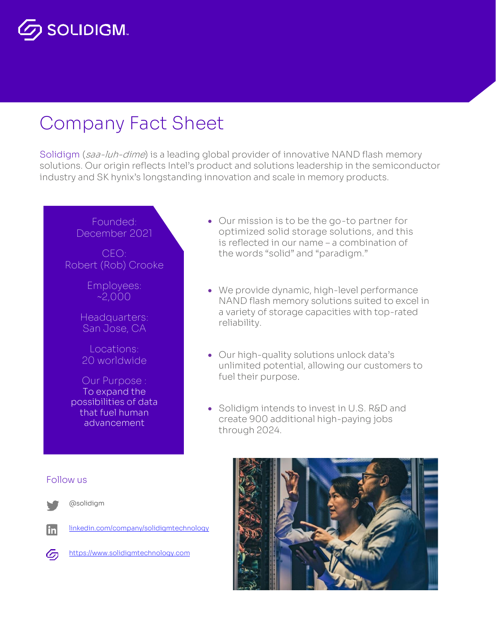# **SOLIDIGM.**

# Company Fact Sheet

Solidigm (saa-luh-dime) is a leading global provider of innovative NAND flash memory solutions. Our origin reflects Intel's product and solutions leadership in the semiconductor industry and SK hynix's longstanding innovation and scale in memory products.

## Founded: December 2021

CEO: Robert (Rob) Crooke

> Employees: ~2,000

Headquarters: San Jose, CA

Locations: 20 worldwide

Our Purpose : To expand the possibilities of data that fuel human advancement

- Our mission is to be the go-to partner for optimized solid storage solutions, and this is reflected in our name – a combination of the words "solid" and "paradigm."
- We provide dynamic, high-level performance NAND flash memory solutions suited to excel in a variety of storage capacities with top-rated reliability.
- Our high-quality solutions unlock data's unlimited potential, allowing our customers to fuel their purpose.
- Solidigm intends to invest in U.S. R&D and create 900 additional high-paying jobs through 2024.



**in** 

@solidigm

[linkedin.com/company/solidigmtechnology](https://www.linkedin.com/company/solidigmtechnology)